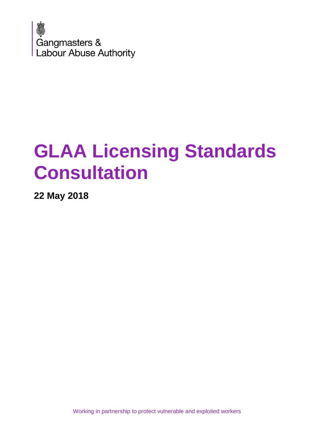

# **GLAA Licensing Standards Consultation**

**22 May 2018**

Working in partnership to protect vulnerable and exploited workers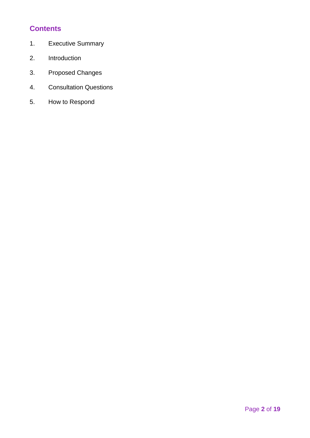# **Contents**

- 1. Executive Summary
- 2. Introduction
- 3. Proposed Changes
- 4. Consultation Questions
- 5. How to Respond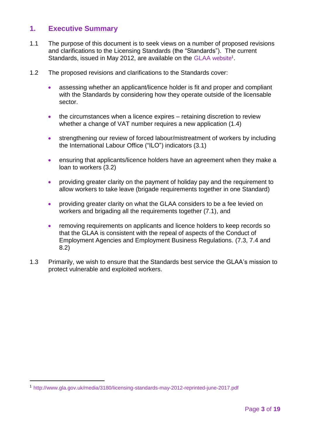# **1. Executive Summary**

- 1.1 The purpose of this document is to seek views on a number of proposed revisions and clarifications to the Licensing Standards (the "Standards"). The current Standards, issued in May 2012, are available on the [GLAA](http://www.gla.gov.uk/media/3180/licensing-standards-may-2012-reprinted-june-2017.pdf) website<sup>1</sup>.
- 1.2 The proposed revisions and clarifications to the Standards cover:
	- assessing whether an applicant/licence holder is fit and proper and compliant with the Standards by considering how they operate outside of the licensable sector.
	- the circumstances when a licence expires retaining discretion to review whether a change of VAT number requires a new application (1.4)
	- strengthening our review of forced labour/mistreatment of workers by including the International Labour Office ("ILO") indicators (3.1)
	- ensuring that applicants/licence holders have an agreement when they make a loan to workers (3.2)
	- providing greater clarity on the payment of holiday pay and the requirement to allow workers to take leave (brigade requirements together in one Standard)
	- providing greater clarity on what the GLAA considers to be a fee levied on workers and brigading all the requirements together (7.1), and
	- removing requirements on applicants and licence holders to keep records so that the GLAA is consistent with the repeal of aspects of the Conduct of Employment Agencies and Employment Business Regulations. (7.3, 7.4 and 8.2)
- 1.3 Primarily, we wish to ensure that the Standards best service the GLAA's mission to protect vulnerable and exploited workers.

-

<sup>1</sup> <http://www.gla.gov.uk/media/3180/licensing-standards-may-2012-reprinted-june-2017.pdf>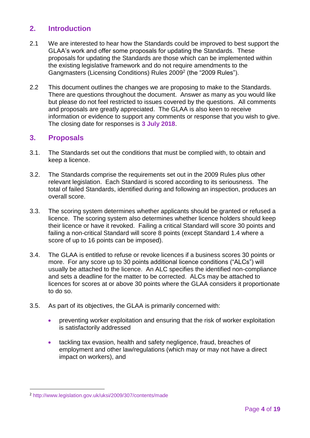# **2. Introduction**

- 2.1 We are interested to hear how the Standards could be improved to best support the GLAA's work and offer some proposals for updating the Standards. These proposals for updating the Standards are those which can be implemented within the existing legislative framework and do not require amendments to the Gangmasters (Licensing Conditions) Rules 2009<sup>2</sup> (the "2009 Rules").
- 2.2 This document outlines the changes we are proposing to make to the Standards. There are questions throughout the document. Answer as many as you would like but please do not feel restricted to issues covered by the questions. All comments and proposals are greatly appreciated. The GLAA is also keen to receive information or evidence to support any comments or response that you wish to give. The closing date for responses is **3 July 2018**.

# **3. Proposals**

- 3.1. The Standards set out the conditions that must be complied with, to obtain and keep a licence.
- 3.2. The Standards comprise the requirements set out in the 2009 Rules plus other relevant legislation. Each Standard is scored according to its seriousness. The total of failed Standards, identified during and following an inspection, produces an overall score.
- 3.3. The scoring system determines whether applicants should be granted or refused a licence. The scoring system also determines whether licence holders should keep their licence or have it revoked. Failing a critical Standard will score 30 points and failing a non-critical Standard will score 8 points (except Standard 1.4 where a score of up to 16 points can be imposed).
- 3.4. The GLAA is entitled to refuse or revoke licences if a business scores 30 points or more. For any score up to 30 points additional licence conditions ("ALCs") will usually be attached to the licence. An ALC specifies the identified non-compliance and sets a deadline for the matter to be corrected. ALCs may be attached to licences for scores at or above 30 points where the GLAA considers it proportionate to do so.
- 3.5. As part of its objectives, the GLAA is primarily concerned with:
	- preventing worker exploitation and ensuring that the risk of worker exploitation is satisfactorily addressed
	- tackling tax evasion, health and safety negligence, fraud, breaches of employment and other law/regulations (which may or may not have a direct impact on workers), and

<sup>-</sup><sup>2</sup> <http://www.legislation.gov.uk/uksi/2009/307/contents/made>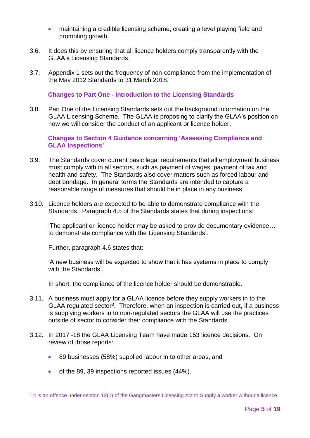- maintaining a credible licensing scheme, creating a level playing field and promoting growth.
- 3.6. It does this by ensuring that all licence holders comply transparently with the GLAA's Licensing Standards.
- 3.7. Appendix 1 sets out the frequency of non-compliance from the implementation of the May 2012 Standards to 31 March 2018.

**Changes to Part One - Introduction to the Licensing Standards**

3.8. Part One of the Licensing Standards sets out the background information on the GLAA Licensing Scheme. The GLAA is proposing to clarify the GLAA's position on how we will consider the conduct of an applicant or licence holder.

**Changes to Section 4 Guidance concerning 'Assessing Compliance and GLAA Inspections'**

- 3.9. The Standards cover current basic legal requirements that all employment business must comply with in all sectors, such as payment of wages, payment of tax and health and safety. The Standards also cover matters such as forced labour and debt bondage. In general terms the Standards are intended to capture a reasonable range of measures that should be in place in any business.
- 3.10. Licence holders are expected to be able to demonstrate compliance with the Standards. Paragraph 4.5 of the Standards states that during inspections:

'The applicant or licence holder may be asked to provide documentary evidence… to demonstrate compliance with the Licensing Standards'.

Further, paragraph 4.6 states that:

'A new business will be expected to show that it has systems in place to comply with the Standards'.

In short, the compliance of the licence holder should be demonstrable.

- 3.11. A business must apply for a GLAA licence before they supply workers in to the GLAA regulated sector<sup>3</sup>. Therefore, when an inspection is carried out, if a business is supplying workers in to non-regulated sectors the GLAA will use the practices outside of sector to consider their compliance with the Standards.
- 3.12. In 2017 -18 the GLAA Licensing Team have made 153 licence decisions. On review of those reports:
	- 89 businesses (58%) supplied labour in to other areas, and
	- of the 89, 39 inspections reported issues (44%).

-

<sup>&</sup>lt;sup>3</sup> It is an offence under section 12(1) of the Gangmasters Licensing Act to Supply a worker without a licence.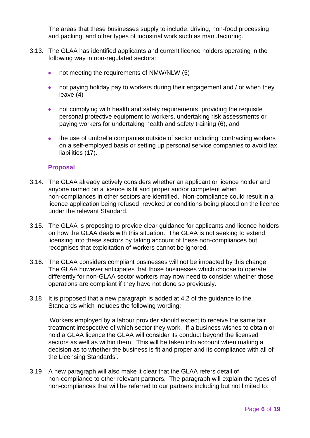The areas that these businesses supply to include: driving, non-food processing and packing, and other types of industrial work such as manufacturing.

- 3.13. The GLAA has identified applicants and current licence holders operating in the following way in non-regulated sectors:
	- not meeting the requirements of NMW/NLW (5)
	- not paying holiday pay to workers during their engagement and / or when they leave (4)
	- not complying with health and safety requirements, providing the requisite personal protective equipment to workers, undertaking risk assessments or paying workers for undertaking health and safety training (6), and
	- the use of umbrella companies outside of sector including: contracting workers on a self-employed basis or setting up personal service companies to avoid tax liabilities (17).

#### **Proposal**

- 3.14. The GLAA already actively considers whether an applicant or licence holder and anyone named on a licence is fit and proper and/or competent when non-compliances in other sectors are identified. Non-compliance could result in a licence application being refused, revoked or conditions being placed on the licence under the relevant Standard.
- 3.15. The GLAA is proposing to provide clear guidance for applicants and licence holders on how the GLAA deals with this situation. The GLAA is not seeking to extend licensing into these sectors by taking account of these non-compliances but recognises that exploitation of workers cannot be ignored.
- 3.16. The GLAA considers compliant businesses will not be impacted by this change. The GLAA however anticipates that those businesses which choose to operate differently for non-GLAA sector workers may now need to consider whether those operations are compliant if they have not done so previously.
- 3.18 It is proposed that a new paragraph is added at 4.2 of the guidance to the Standards which includes the following wording:

'Workers employed by a labour provider should expect to receive the same fair treatment irrespective of which sector they work. If a business wishes to obtain or hold a GLAA licence the GLAA will consider its conduct beyond the licensed sectors as well as within them. This will be taken into account when making a decision as to whether the business is fit and proper and its compliance with all of the Licensing Standards'.

3.19 A new paragraph will also make it clear that the GLAA refers detail of non-compliance to other relevant partners. The paragraph will explain the types of non-compliances that will be referred to our partners including but not limited to: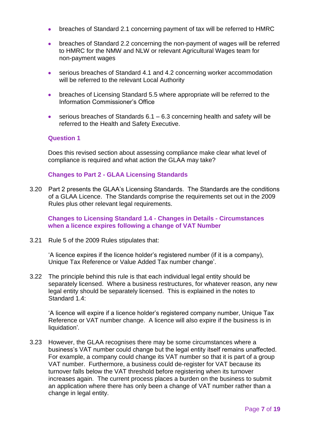- breaches of Standard 2.1 concerning payment of tax will be referred to HMRC
- breaches of Standard 2.2 concerning the non-payment of wages will be referred to HMRC for the NMW and NLW or relevant Agricultural Wages team for non-payment wages
- serious breaches of Standard 4.1 and 4.2 concerning worker accommodation will be referred to the relevant Local Authority
- breaches of Licensing Standard 5.5 where appropriate will be referred to the Information Commissioner's Office
- $\bullet$  serious breaches of Standards 6.1 6.3 concerning health and safety will be referred to the Health and Safety Executive.

## **Question 1**

Does this revised section about assessing compliance make clear what level of compliance is required and what action the GLAA may take?

#### **Changes to Part 2 - GLAA Licensing Standards**

3.20 Part 2 presents the GLAA's Licensing Standards. The Standards are the conditions of a GLAA Licence. The Standards comprise the requirements set out in the 2009 Rules plus other relevant legal requirements.

**Changes to Licensing Standard 1.4 - Changes in Details - Circumstances when a licence expires following a change of VAT Number**

3.21 Rule 5 of the 2009 Rules stipulates that:

'A licence expires if the licence holder's registered number (if it is a company), Unique Tax Reference or Value Added Tax number change'.

3.22 The principle behind this rule is that each individual legal entity should be separately licensed. Where a business restructures, for whatever reason, any new legal entity should be separately licensed. This is explained in the notes to Standard 1.4:

'A licence will expire if a licence holder's registered company number, Unique Tax Reference or VAT number change. A licence will also expire if the business is in liquidation'*.*

3.23 However, the GLAA recognises there may be some circumstances where a business's VAT number could change but the legal entity itself remains unaffected. For example, a company could change its VAT number so that it is part of a group VAT number. Furthermore, a business could de-register for VAT because its turnover falls below the VAT threshold before registering when its turnover increases again. The current process places a burden on the business to submit an application where there has only been a change of VAT number rather than a change in legal entity.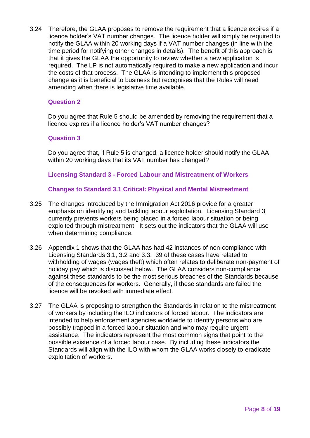3.24 Therefore, the GLAA proposes to remove the requirement that a licence expires if a licence holder's VAT number changes. The licence holder will simply be required to notify the GLAA within 20 working days if a VAT number changes (in line with the time period for notifying other changes in details). The benefit of this approach is that it gives the GLAA the opportunity to review whether a new application is required. The LP is not automatically required to make a new application and incur the costs of that process. The GLAA is intending to implement this proposed change as it is beneficial to business but recognises that the Rules will need amending when there is legislative time available.

#### **Question 2**

Do you agree that Rule 5 should be amended by removing the requirement that a licence expires if a licence holder's VAT number changes?

#### **Question 3**

Do you agree that, if Rule 5 is changed, a licence holder should notify the GLAA within 20 working days that its VAT number has changed?

#### **Licensing Standard 3 - Forced Labour and Mistreatment of Workers**

#### **Changes to Standard 3.1 Critical: Physical and Mental Mistreatment**

- 3.25 The changes introduced by the Immigration Act 2016 provide for a greater emphasis on identifying and tackling labour exploitation. Licensing Standard 3 currently prevents workers being placed in a forced labour situation or being exploited through mistreatment. It sets out the indicators that the GLAA will use when determining compliance.
- 3.26 Appendix 1 shows that the GLAA has had 42 instances of non-compliance with Licensing Standards 3.1, 3.2 and 3.3. 39 of these cases have related to withholding of wages (wages theft) which often relates to deliberate non-payment of holiday pay which is discussed below. The GLAA considers non-compliance against these standards to be the most serious breaches of the Standards because of the consequences for workers. Generally, if these standards are failed the licence will be revoked with immediate effect.
- 3.27 The GLAA is proposing to strengthen the Standards in relation to the mistreatment of workers by including the ILO indicators of forced labour. The indicators are intended to help enforcement agencies worldwide to identify persons who are possibly trapped in a forced labour situation and who may require urgent assistance. The indicators represent the most common signs that point to the possible existence of a forced labour case. By including these indicators the Standards will align with the ILO with whom the GLAA works closely to eradicate exploitation of workers.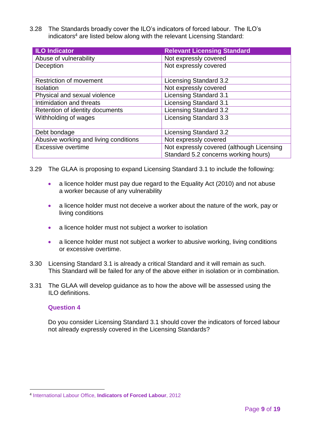3.28 The Standards broadly cover the ILO's indicators of forced labour. The ILO's indicators<sup>4</sup> are listed below along with the relevant Licensing Standard:

| <b>ILO Indicator</b>                  | <b>Relevant Licensing Standard</b>                                                |
|---------------------------------------|-----------------------------------------------------------------------------------|
| Abuse of vulnerability                | Not expressly covered                                                             |
| Deception                             | Not expressly covered                                                             |
| <b>Restriction of movement</b>        | Licensing Standard 3.2                                                            |
| <b>Isolation</b>                      | Not expressly covered                                                             |
| Physical and sexual violence          | Licensing Standard 3.1                                                            |
| Intimidation and threats              | Licensing Standard 3.1                                                            |
| Retention of identity documents       | Licensing Standard 3.2                                                            |
| Withholding of wages                  | Licensing Standard 3.3                                                            |
| Debt bondage                          | Licensing Standard 3.2                                                            |
| Abusive working and living conditions | Not expressly covered                                                             |
| Excessive overtime                    | Not expressly covered (although Licensing<br>Standard 5.2 concerns working hours) |

- 3.29 The GLAA is proposing to expand Licensing Standard 3.1 to include the following:
	- a licence holder must pay due regard to the Equality Act (2010) and not abuse a worker because of any vulnerability
	- a licence holder must not deceive a worker about the nature of the work, pay or living conditions
	- a licence holder must not subject a worker to isolation
	- a licence holder must not subject a worker to abusive working, living conditions or excessive overtime.
- 3.30 Licensing Standard 3.1 is already a critical Standard and it will remain as such. This Standard will be failed for any of the above either in isolation or in combination.
- 3.31 The GLAA will develop guidance as to how the above will be assessed using the ILO definitions.

#### **Question 4**

Do you consider Licensing Standard 3.1 should cover the indicators of forced labour not already expressly covered in the Licensing Standards?

<sup>-</sup>4 International Labour Office, **Indicators of Forced Labour**, 2012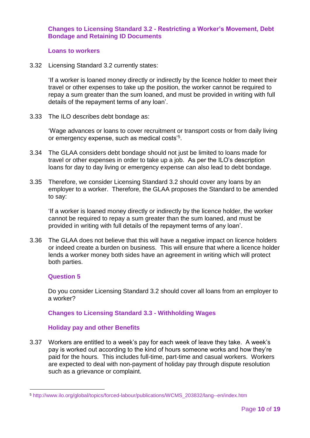### **Changes to Licensing Standard 3.2 - Restricting a Worker's Movement, Debt Bondage and Retaining ID Documents**

#### **Loans to workers**

3.32 Licensing Standard 3.2 currently states:

'If a worker is loaned money directly or indirectly by the licence holder to meet their travel or other expenses to take up the position, the worker cannot be required to repay a sum greater than the sum loaned, and must be provided in writing with full details of the repayment terms of any loan'.

3.33 The ILO describes debt bondage as:

'Wage advances or loans to cover recruitment or transport costs or from daily living or emergency expense, such as medical costs'<sup>5</sup> .

- 3.34 The GLAA considers debt bondage should not just be limited to loans made for travel or other expenses in order to take up a job. As per the ILO's description loans for day to day living or emergency expense can also lead to debt bondage.
- 3.35 Therefore, we consider Licensing Standard 3.2 should cover any loans by an employer to a worker. Therefore, the GLAA proposes the Standard to be amended to say:

'If a worker is loaned money directly or indirectly by the licence holder, the worker cannot be required to repay a sum greater than the sum loaned, and must be provided in writing with full details of the repayment terms of any loan'.

3.36 The GLAA does not believe that this will have a negative impact on licence holders or indeed create a burden on business. This will ensure that where a licence holder lends a worker money both sides have an agreement in writing which will protect both parties.

#### **Question 5**

Do you consider Licensing Standard 3.2 should cover all loans from an employer to a worker?

#### **Changes to Licensing Standard 3.3 - Withholding Wages**

#### **Holiday pay and other Benefits**

3.37 Workers are entitled to a week's pay for each week of leave they take. A week's pay is worked out according to the kind of hours someone works and how they're paid for the hours. This includes full-time, part-time and casual workers. Workers are expected to deal with non-payment of holiday pay through dispute resolution such as a grievance or complaint.

<sup>-</sup><sup>5</sup> [http://www.ilo.org/global/topics/forced-labour/publications/WCMS\\_203832/lang--en/index.htm](http://www.ilo.org/global/topics/forced-labour/publications/WCMS_203832/lang--en/index.htm)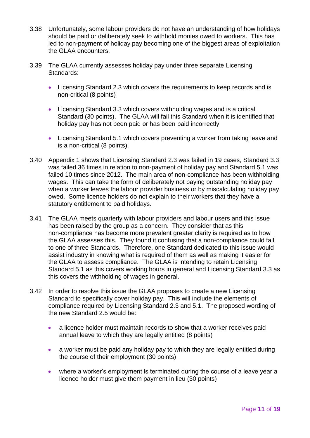- 3.38 Unfortunately, some labour providers do not have an understanding of how holidays should be paid or deliberately seek to withhold monies owed to workers. This has led to non-payment of holiday pay becoming one of the biggest areas of exploitation the GLAA encounters.
- 3.39 The GLAA currently assesses holiday pay under three separate Licensing Standards:
	- Licensing Standard 2.3 which covers the requirements to keep records and is non-critical (8 points)
	- Licensing Standard 3.3 which covers withholding wages and is a critical Standard (30 points). The GLAA will fail this Standard when it is identified that holiday pay has not been paid or has been paid incorrectly
	- Licensing Standard 5.1 which covers preventing a worker from taking leave and is a non-critical (8 points).
- 3.40 Appendix 1 shows that Licensing Standard 2.3 was failed in 19 cases, Standard 3.3 was failed 36 times in relation to non-payment of holiday pay and Standard 5.1 was failed 10 times since 2012. The main area of non-compliance has been withholding wages. This can take the form of deliberately not paying outstanding holiday pay when a worker leaves the labour provider business or by miscalculating holiday pay owed. Some licence holders do not explain to their workers that they have a statutory entitlement to paid holidays.
- 3.41 The GLAA meets quarterly with labour providers and labour users and this issue has been raised by the group as a concern. They consider that as this non-compliance has become more prevalent greater clarity is required as to how the GLAA assesses this. They found it confusing that a non-compliance could fall to one of three Standards. Therefore, one Standard dedicated to this issue would assist industry in knowing what is required of them as well as making it easier for the GLAA to assess compliance. The GLAA is intending to retain Licensing Standard 5.1 as this covers working hours in general and Licensing Standard 3.3 as this covers the withholding of wages in general.
- 3.42 In order to resolve this issue the GLAA proposes to create a new Licensing Standard to specifically cover holiday pay. This will include the elements of compliance required by Licensing Standard 2.3 and 5.1. The proposed wording of the new Standard 2.5 would be:
	- a licence holder must maintain records to show that a worker receives paid annual leave to which they are legally entitled (8 points)
	- a worker must be paid any holiday pay to which they are legally entitled during the course of their employment (30 points)
	- where a worker's employment is terminated during the course of a leave year a licence holder must give them payment in lieu (30 points)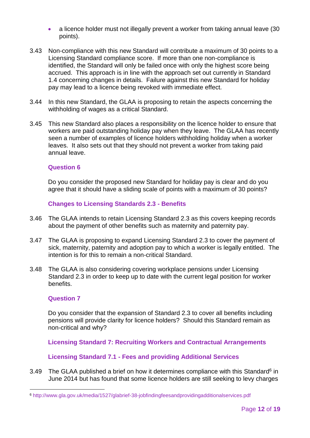- a licence holder must not illegally prevent a worker from taking annual leave (30 points).
- 3.43 Non-compliance with this new Standard will contribute a maximum of 30 points to a Licensing Standard compliance score. If more than one non-compliance is identified, the Standard will only be failed once with only the highest score being accrued. This approach is in line with the approach set out currently in Standard 1.4 concerning changes in details. Failure against this new Standard for holiday pay may lead to a licence being revoked with immediate effect.
- 3.44 In this new Standard, the GLAA is proposing to retain the aspects concerning the withholding of wages as a critical Standard.
- 3.45 This new Standard also places a responsibility on the licence holder to ensure that workers are paid outstanding holiday pay when they leave. The GLAA has recently seen a number of examples of licence holders withholding holiday when a worker leaves. It also sets out that they should not prevent a worker from taking paid annual leave.

#### **Question 6**

Do you consider the proposed new Standard for holiday pay is clear and do you agree that it should have a sliding scale of points with a maximum of 30 points?

#### **Changes to Licensing Standards 2.3 - Benefits**

- 3.46 The GLAA intends to retain Licensing Standard 2.3 as this covers keeping records about the payment of other benefits such as maternity and paternity pay.
- 3.47 The GLAA is proposing to expand Licensing Standard 2.3 to cover the payment of sick, maternity, paternity and adoption pay to which a worker is legally entitled. The intention is for this to remain a non-critical Standard.
- 3.48 The GLAA is also considering covering workplace pensions under Licensing Standard 2.3 in order to keep up to date with the current legal position for worker benefits.

#### **Question 7**

-

Do you consider that the expansion of Standard 2.3 to cover all benefits including pensions will provide clarity for licence holders? Should this Standard remain as non-critical and why?

**Licensing Standard 7: Recruiting Workers and Contractual Arrangements**

#### **Licensing Standard 7.1 - Fees and providing Additional Services**

3.49 The GLAA published a brief on how it determines compliance with this Standard<sup>6</sup> in June 2014 but has found that some licence holders are still seeking to levy charges

<sup>6</sup> http://www.gla.gov.uk/media/1527/glabrief-38-jobfindingfeesandprovidingadditionalservices.pdf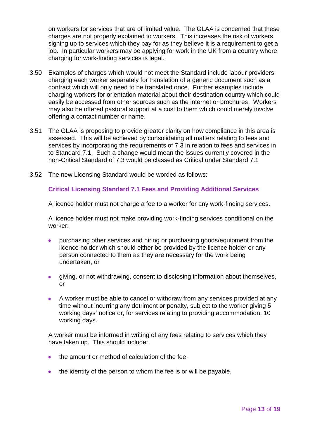on workers for services that are of limited value. The GLAA is concerned that these charges are not properly explained to workers. This increases the risk of workers signing up to services which they pay for as they believe it is a requirement to get a job. In particular workers may be applying for work in the UK from a country where charging for work-finding services is legal.

- 3.50 Examples of charges which would not meet the Standard include labour providers charging each worker separately for translation of a generic document such as a contract which will only need to be translated once. Further examples include charging workers for orientation material about their destination country which could easily be accessed from other sources such as the internet or brochures. Workers may also be offered pastoral support at a cost to them which could merely involve offering a contact number or name.
- 3.51 The GLAA is proposing to provide greater clarity on how compliance in this area is assessed. This will be achieved by consolidating all matters relating to fees and services by incorporating the requirements of 7.3 in relation to fees and services in to Standard 7.1. Such a change would mean the issues currently covered in the non-Critical Standard of 7.3 would be classed as Critical under Standard 7.1
- 3.52 The new Licensing Standard would be worded as follows:

## **Critical Licensing Standard 7.1 Fees and Providing Additional Services**

A licence holder must not charge a fee to a worker for any work-finding services.

A licence holder must not make providing work-finding services conditional on the worker:

- purchasing other services and hiring or purchasing goods/equipment from the licence holder which should either be provided by the licence holder or any person connected to them as they are necessary for the work being undertaken, or
- giving, or not withdrawing, consent to disclosing information about themselves, or
- A worker must be able to cancel or withdraw from any services provided at any time without incurring any detriment or penalty, subject to the worker giving 5 working days' notice or, for services relating to providing accommodation, 10 working days.

A worker must be informed in writing of any fees relating to services which they have taken up. This should include:

- the amount or method of calculation of the fee,
- the identity of the person to whom the fee is or will be payable,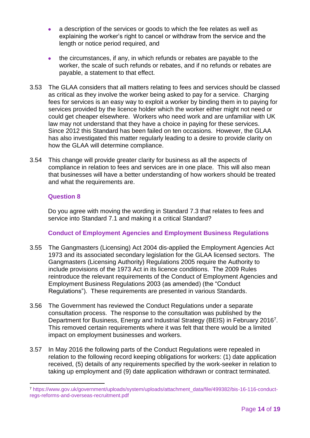- a description of the services or goods to which the fee relates as well as explaining the worker's right to cancel or withdraw from the service and the length or notice period required, and
- the circumstances, if any, in which refunds or rebates are payable to the worker, the scale of such refunds or rebates, and if no refunds or rebates are payable, a statement to that effect.
- 3.53 The GLAA considers that all matters relating to fees and services should be classed as critical as they involve the worker being asked to pay for a service. Charging fees for services is an easy way to exploit a worker by binding them in to paying for services provided by the licence holder which the worker either might not need or could get cheaper elsewhere. Workers who need work and are unfamiliar with UK law may not understand that they have a choice in paying for these services. Since 2012 this Standard has been failed on ten occasions. However, the GLAA has also investigated this matter regularly leading to a desire to provide clarity on how the GLAA will determine compliance.
- 3.54 This change will provide greater clarity for business as all the aspects of compliance in relation to fees and services are in one place. This will also mean that businesses will have a better understanding of how workers should be treated and what the requirements are.

#### **Question 8**

-

Do you agree with moving the wording in Standard 7.3 that relates to fees and service into Standard 7.1 and making it a critical Standard?

# **Conduct of Employment Agencies and Employment Business Regulations**

- 3.55 The Gangmasters (Licensing) Act 2004 dis-applied the Employment Agencies Act 1973 and its associated secondary legislation for the GLAA licensed sectors. The Gangmasters (Licensing Authority) Regulations 2005 require the Authority to include provisions of the 1973 Act in its licence conditions. The 2009 Rules reintroduce the relevant requirements of the Conduct of Employment Agencies and Employment Business Regulations 2003 (as amended) (the "Conduct Regulations"). These requirements are presented in various Standards.
- 3.56 The Government has reviewed the Conduct Regulations under a separate consultation process. The response to the consultation was published by the Department for Business, Energy and Industrial Strategy (BEIS) in February 2016<sup>7</sup>. This removed certain requirements where it was felt that there would be a limited impact on employment businesses and workers.
- 3.57 In May 2016 the following parts of the Conduct Regulations were repealed in relation to the following record keeping obligations for workers: (1) date application received, (5) details of any requirements specified by the work-seeker in relation to taking up employment and (9) date application withdrawn or contract terminated.

<sup>7</sup> [https://www.gov.uk/government/uploads/system/uploads/attachment\\_data/file/499382/bis-16-116-conduct](https://www.gov.uk/government/uploads/system/uploads/attachment_data/file/499382/bis-16-116-conduct-)regs-reforms-and-overseas-recruitment.pdf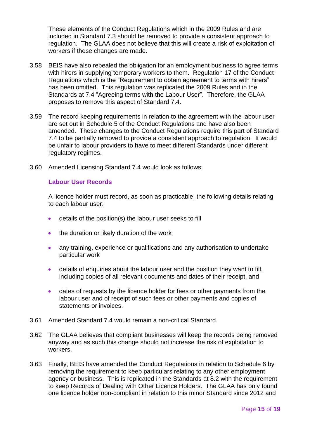These elements of the Conduct Regulations which in the 2009 Rules and are included in Standard 7.3 should be removed to provide a consistent approach to regulation. The GLAA does not believe that this will create a risk of exploitation of workers if these changes are made.

- 3.58 BEIS have also repealed the obligation for an employment business to agree terms with hirers in supplying temporary workers to them. Regulation 17 of the Conduct Regulations which is the "Requirement to obtain agreement to terms with hirers" has been omitted. This regulation was replicated the 2009 Rules and in the Standards at 7.4 "Agreeing terms with the Labour User". Therefore, the GLAA proposes to remove this aspect of Standard 7.4.
- 3.59 The record keeping requirements in relation to the agreement with the labour user are set out in Schedule 5 of the Conduct Regulations and have also been amended. These changes to the Conduct Regulations require this part of Standard 7.4 to be partially removed to provide a consistent approach to regulation. It would be unfair to labour providers to have to meet different Standards under different regulatory regimes.
- 3.60 Amended Licensing Standard 7.4 would look as follows:

#### **Labour User Records**

A licence holder must record, as soon as practicable, the following details relating to each labour user:

- details of the position(s) the labour user seeks to fill
- the duration or likely duration of the work
- any training, experience or qualifications and any authorisation to undertake particular work
- details of enquiries about the labour user and the position they want to fill, including copies of all relevant documents and dates of their receipt, and
- dates of requests by the licence holder for fees or other payments from the labour user and of receipt of such fees or other payments and copies of statements or invoices.
- 3.61 Amended Standard 7.4 would remain a non-critical Standard.
- 3.62 The GLAA believes that compliant businesses will keep the records being removed anyway and as such this change should not increase the risk of exploitation to workers.
- 3.63 Finally, BEIS have amended the Conduct Regulations in relation to Schedule 6 by removing the requirement to keep particulars relating to any other employment agency or business. This is replicated in the Standards at 8.2 with the requirement to keep Records of Dealing with Other Licence Holders. The GLAA has only found one licence holder non-compliant in relation to this minor Standard since 2012 and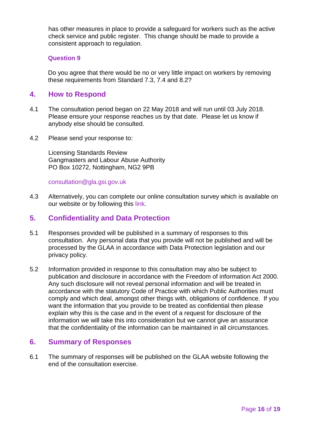has other measures in place to provide a safeguard for workers such as the active check service and public register. This change should be made to provide a consistent approach to regulation.

#### **Question 9**

Do you agree that there would be no or very little impact on workers by removing these requirements from Standard 7.3, 7.4 and 8.2?

# **4. How to Respond**

- 4.1 The consultation period began on 22 May 2018 and will run until 03 July 2018. Please ensure your response reaches us by that date. Please let us know if anybody else should be consulted.
- 4.2 Please send your response to:

Licensing Standards Review Gangmasters and Labour Abuse Authority PO Box 10272, Nottingham, NG2 9PB

[consultation@gla.gsi.gov.uk](mailto:consultation@gla.gsi.gov.uk)

4.3 Alternatively, you can complete our online consultation survey which is available on our website or by following this [link.](https://www.surveymonkey.co.uk/r/53G7Q5V)

# **5. Confidentiality and Data Protection**

- 5.1 Responses provided will be published in a summary of responses to this consultation. Any personal data that you provide will not be published and will be processed by the GLAA in accordance with Data Protection legislation and our privacy policy.
- 5.2 Information provided in response to this consultation may also be subject to publication and disclosure in accordance with the Freedom of information Act 2000. Any such disclosure will not reveal personal information and will be treated in accordance with the statutory Code of Practice with which Public Authorities must comply and which deal, amongst other things with, obligations of confidence. If you want the information that you provide to be treated as confidential then please explain why this is the case and in the event of a request for disclosure of the information we will take this into consideration but we cannot give an assurance that the confidentiality of the information can be maintained in all circumstances.

#### **6. Summary of Responses**

6.1 The summary of responses will be published on the GLAA website following the end of the consultation exercise.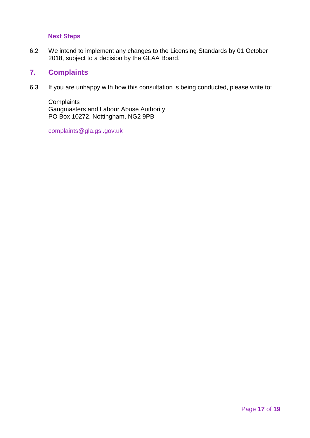## **Next Steps**

6.2 We intend to implement any changes to the Licensing Standards by 01 October 2018, subject to a decision by the GLAA Board.

# **7. Complaints**

6.3 If you are unhappy with how this consultation is being conducted, please write to:

**Complaints** Gangmasters and Labour Abuse Authority PO Box 10272, Nottingham, NG2 9PB

[complaints@gla.gsi.gov.uk](mailto:complaints@gla.gsi.gov.uk)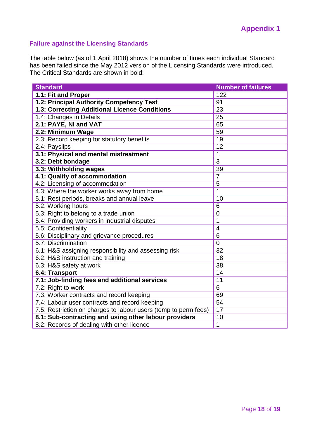# **Failure against the Licensing Standards**

The table below (as of 1 April 2018) shows the number of times each individual Standard has been failed since the May 2012 version of the Licensing Standards were introduced. The Critical Standards are shown in bold:

| <b>Standard</b>                                                 | <b>Number of failures</b> |
|-----------------------------------------------------------------|---------------------------|
| 1.1: Fit and Proper                                             | 122                       |
| 1.2: Principal Authority Competency Test                        | 91                        |
| 1.3: Correcting Additional Licence Conditions                   | 23                        |
| 1.4: Changes in Details                                         | 25                        |
| 2.1: PAYE, NI and VAT                                           | 65                        |
| 2.2: Minimum Wage                                               | 59                        |
| 2.3: Record keeping for statutory benefits                      | 19                        |
| 2.4: Payslips                                                   | 12                        |
| 3.1: Physical and mental mistreatment                           | 1                         |
| 3.2: Debt bondage                                               | 3                         |
| 3.3: Withholding wages                                          | 39                        |
| 4.1: Quality of accommodation                                   | $\overline{7}$            |
| 4.2: Licensing of accommodation                                 | 5                         |
| 4.3: Where the worker works away from home                      | 1                         |
| 5.1: Rest periods, breaks and annual leave                      | 10                        |
| 5.2: Working hours                                              | 6                         |
| 5.3: Right to belong to a trade union                           | $\overline{0}$            |
| 5.4: Providing workers in industrial disputes                   | 1                         |
| 5.5: Confidentiality                                            | 4                         |
| 5.6: Disciplinary and grievance procedures                      | 6                         |
| 5.7: Discrimination                                             | $\mathbf 0$               |
| 6.1: H&S assigning responsibility and assessing risk            | 32                        |
| 6.2: H&S instruction and training                               | 18                        |
| 6.3: H&S safety at work                                         | 38                        |
| 6.4: Transport                                                  | 14                        |
| 7.1: Job-finding fees and additional services                   | 11                        |
| 7.2: Right to work                                              | 6                         |
| 7.3: Worker contracts and record keeping                        | 69                        |
| 7.4: Labour user contracts and record keeping                   | 54                        |
| 7.5: Restriction on charges to labour users (temp to perm fees) | 17                        |
| 8.1: Sub-contracting and using other labour providers           | 10                        |
| 8.2: Records of dealing with other licence                      | $\mathbf 1$               |